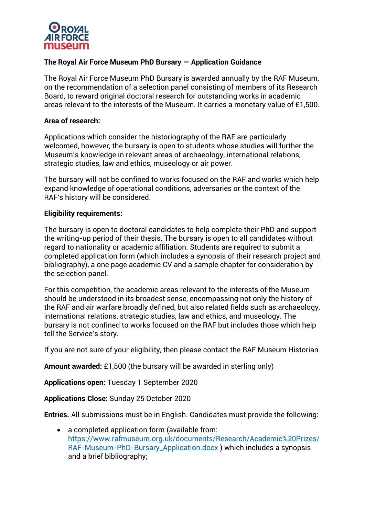

# **The Royal Air Force Museum PhD Bursary — Application Guidance**

The Royal Air Force Museum PhD Bursary is awarded annually by the RAF Museum, on the recommendation of a selection panel consisting of members of its Research Board, to reward original doctoral research for outstanding works in academic areas relevant to the interests of the Museum. It carries a monetary value of £1,500.

#### **Area of research:**

Applications which consider the historiography of the RAF are particularly welcomed, however, the bursary is open to students whose studies will further the Museum's knowledge in relevant areas of archaeology, international relations, strategic studies, law and ethics, museology or air power.

The bursary will not be confined to works focused on the RAF and works which help expand knowledge of operational conditions, adversaries or the context of the RAF's history will be considered.

### **Eligibility requirements:**

The bursary is open to doctoral candidates to help complete their PhD and support the writing-up period of their thesis. The bursary is open to all candidates without regard to nationality or academic affiliation. Students are required to submit a completed application form (which includes a synopsis of their research project and bibliography), a one page academic CV and a sample chapter for consideration by the selection panel.

For this competition, the academic areas relevant to the interests of the Museum should be understood in its broadest sense, encompassing not only the history of the RAF and air warfare broadly defined, but also related fields such as archaeology, international relations, strategic studies, law and ethics, and museology. The bursary is not confined to works focused on the RAF but includes those which help tell the Service's story.

If you are not sure of your eligibility, then please contact the RAF Museum Historian

**Amount awarded:** £1,500 (the bursary will be awarded in sterling only)

**Applications open:** Tuesday 1 September 2020

**Applications Close:** Sunday 25 October 2020

**Entries.** All submissions must be in English. Candidates must provide the following:

• a completed application form (available from: [https://www.rafmuseum.org.uk/documents/Research/Academic%20Prizes/](https://www.rafmuseum.org.uk/documents/Research/Academic%20Prizes/RAF-Museum-PhD-Bursary_Application.docx) [RAF-Museum-PhD-Bursary\\_Application.docx](https://www.rafmuseum.org.uk/documents/Research/Academic%20Prizes/RAF-Museum-PhD-Bursary_Application.docx) ) which includes a synopsis and a brief bibliography;